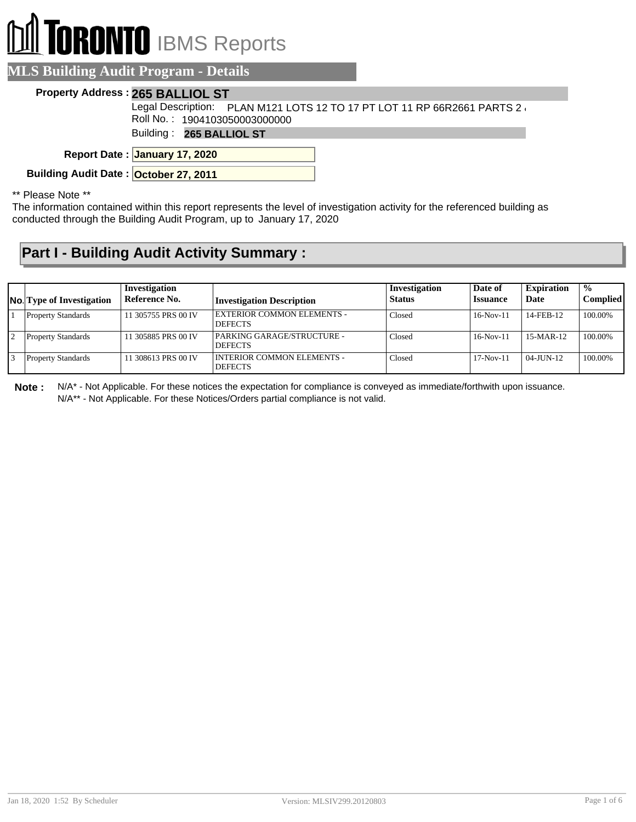# **RONTO** IBMS Reports

#### **MLS Building Audit Program - Details**

#### **Property Address : 265 BALLIOL ST**

Legal Description: PLAN M121 LOTS 12 TO 17 PT LOT 11 RP 66R2661 PARTS 2  $\lambda$ Roll No. : 1904103050003000000

Building : **265 BALLIOL ST**

**January 17, 2020 Report Date :**

**Building Audit Date : October 27, 2011** 

\*\* Please Note \*\*

The information contained within this report represents the level of investigation activity for the referenced building as conducted through the Building Audit Program, up to January 17, 2020

### **Part I - Building Audit Activity Summary :**

| <b>No.</b> Type of Investigation | Investigation<br>Reference No. | <b>Investigation Description</b>                    | Investigation<br><b>Status</b> | Date of<br><b>Issuance</b> | <b>Expiration</b><br>Date | $\frac{0}{0}$<br><b>Complied</b> |
|----------------------------------|--------------------------------|-----------------------------------------------------|--------------------------------|----------------------------|---------------------------|----------------------------------|
| <b>Property Standards</b>        | 11 305755 PRS 00 IV            | <b>EXTERIOR COMMON ELEMENTS -</b><br><b>DEFECTS</b> | Closed                         | $16-Nov-11$                | 14-FEB-12                 | 100.00%                          |
| <b>Property Standards</b>        | 11 305885 PRS 00 IV            | PARKING GARAGE/STRUCTURE -<br><b>DEFECTS</b>        | Closed                         | $16-Nov-11$                | $15-MAR-12$               | 100.00%                          |
| <b>Property Standards</b>        | 11 308613 PRS 00 IV            | I INTERIOR COMMON ELEMENTS -<br><b>DEFECTS</b>      | Closed                         | $17-Nov-11$                | $04$ -JUN-12              | 100.00%                          |

**Note :** N/A\* - Not Applicable. For these notices the expectation for compliance is conveyed as immediate/forthwith upon issuance. N/A\*\* - Not Applicable. For these Notices/Orders partial compliance is not valid.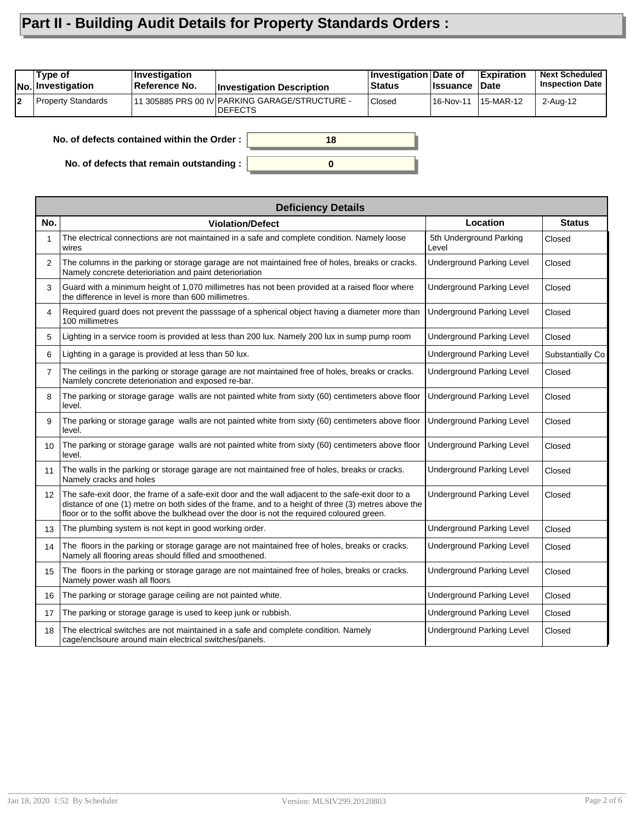## **Part II - Building Audit Details for Property Standards Orders :**

|    | Type of<br><b>No. Investigation</b> | $ $ Investigation<br>Reference No. | <b>Investigation Description</b>                            | Investigation Date of<br>⊦Status | ∣Issuance | <b>Expiration</b><br>∣Date | <b>Next Scheduled</b><br><b>Inspection Date</b> |
|----|-------------------------------------|------------------------------------|-------------------------------------------------------------|----------------------------------|-----------|----------------------------|-------------------------------------------------|
| l2 | <b>Property Standards</b>           |                                    | 111 305885 PRS 00 IV PARKING GARAGE/STRUCTURE -<br>IDEFECTS | <b>Closed</b>                    | 16-Nov-11 | 15-MAR-12                  | 2-Aug-12                                        |
|    |                                     |                                    |                                                             |                                  |           |                            |                                                 |

**0**

**18**

**No. of defects contained within the Order :**

**No. of defects that remain outstanding :**

|                   | <b>Deficiency Details</b>                                                                                                                                                                                                                                                                                |                                  |                  |  |  |  |  |
|-------------------|----------------------------------------------------------------------------------------------------------------------------------------------------------------------------------------------------------------------------------------------------------------------------------------------------------|----------------------------------|------------------|--|--|--|--|
| No.               | <b>Violation/Defect</b>                                                                                                                                                                                                                                                                                  | Location                         | <b>Status</b>    |  |  |  |  |
|                   | The electrical connections are not maintained in a safe and complete condition. Namely loose<br>wires                                                                                                                                                                                                    | 5th Underground Parking<br>Level | Closed           |  |  |  |  |
| 2                 | The columns in the parking or storage garage are not maintained free of holes, breaks or cracks.<br>Namely concrete deterioriation and paint deterioriation                                                                                                                                              | <b>Underground Parking Level</b> | Closed           |  |  |  |  |
| 3                 | Guard with a minimum height of 1,070 millimetres has not been provided at a raised floor where<br>the difference in level is more than 600 millimetres.                                                                                                                                                  | <b>Underground Parking Level</b> | Closed           |  |  |  |  |
| 4                 | Required guard does not prevent the passsage of a spherical object having a diameter more than<br>100 millimetres                                                                                                                                                                                        | <b>Underground Parking Level</b> | Closed           |  |  |  |  |
| 5                 | Lighting in a service room is provided at less than 200 lux. Namely 200 lux in sump pump room                                                                                                                                                                                                            | <b>Underground Parking Level</b> | Closed           |  |  |  |  |
| 6                 | Lighting in a garage is provided at less than 50 lux.                                                                                                                                                                                                                                                    | <b>Underground Parking Level</b> | Substantially Co |  |  |  |  |
| $\overline{7}$    | The ceilings in the parking or storage garage are not maintained free of holes, breaks or cracks.<br>Namlely concrete deterioriation and exposed re-bar.                                                                                                                                                 | <b>Underground Parking Level</b> | Closed           |  |  |  |  |
| 8                 | The parking or storage garage walls are not painted white from sixty (60) centimeters above floor<br>level.                                                                                                                                                                                              | <b>Underground Parking Level</b> | Closed           |  |  |  |  |
| 9                 | The parking or storage garage walls are not painted white from sixty (60) centimeters above floor<br>level.                                                                                                                                                                                              | <b>Underground Parking Level</b> | Closed           |  |  |  |  |
| 10 <sup>°</sup>   | The parking or storage garage walls are not painted white from sixty (60) centimeters above floor<br>level.                                                                                                                                                                                              | <b>Underground Parking Level</b> | Closed           |  |  |  |  |
| 11                | The walls in the parking or storage garage are not maintained free of holes, breaks or cracks.<br>Namely cracks and holes                                                                                                                                                                                | <b>Underground Parking Level</b> | Closed           |  |  |  |  |
| $12 \overline{ }$ | The safe-exit door, the frame of a safe-exit door and the wall adjacent to the safe-exit door to a<br>distance of one (1) metre on both sides of the frame, and to a height of three (3) metres above the<br>floor or to the soffit above the bulkhead over the door is not the required coloured green. | <b>Underground Parking Level</b> | Closed           |  |  |  |  |
| 13                | The plumbing system is not kept in good working order.                                                                                                                                                                                                                                                   | <b>Underground Parking Level</b> | Closed           |  |  |  |  |
| 14                | The floors in the parking or storage garage are not maintained free of holes, breaks or cracks.<br>Namely all flooring areas should filled and smoothened.                                                                                                                                               | <b>Underground Parking Level</b> | Closed           |  |  |  |  |
| 15                | The floors in the parking or storage garage are not maintained free of holes, breaks or cracks.<br>Namely power wash all floors                                                                                                                                                                          | <b>Underground Parking Level</b> | Closed           |  |  |  |  |
| 16                | The parking or storage garage ceiling are not painted white.                                                                                                                                                                                                                                             | <b>Underground Parking Level</b> | Closed           |  |  |  |  |
| 17                | The parking or storage garage is used to keep junk or rubbish.                                                                                                                                                                                                                                           | <b>Underground Parking Level</b> | Closed           |  |  |  |  |
| 18                | The electrical switches are not maintained in a safe and complete condition. Namely<br>cage/enclsoure around main electrical switches/panels.                                                                                                                                                            | <b>Underground Parking Level</b> | Closed           |  |  |  |  |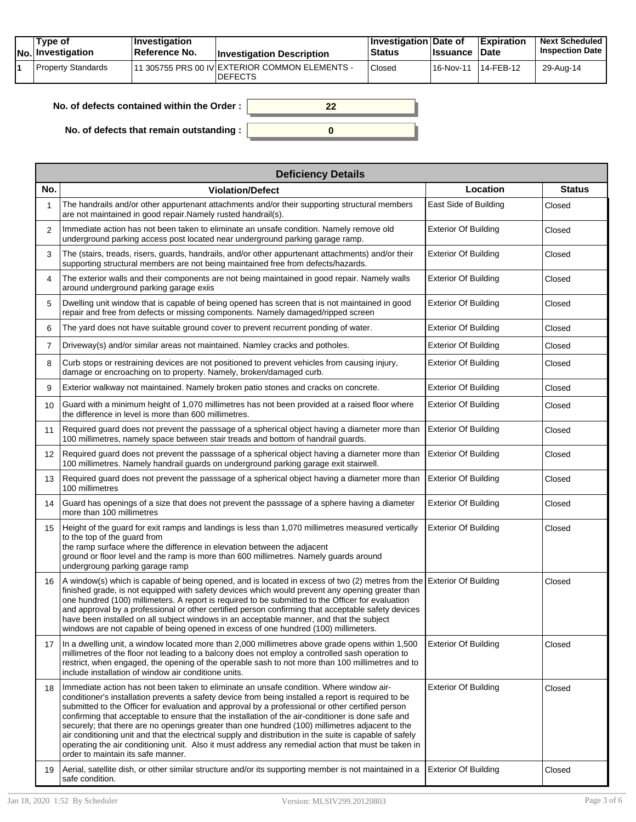| Type of<br>No. Investigation | <b>Investigation</b><br>⊺Reference No. | <b>Investigation Description</b>                                | ∣Investigation Date of<br><b>Status</b> | <b>Issuance</b> | <b>Expiration</b><br><b>Date</b> | <b>Next Scheduled</b><br><b>Inspection Date</b> |
|------------------------------|----------------------------------------|-----------------------------------------------------------------|-----------------------------------------|-----------------|----------------------------------|-------------------------------------------------|
| Property Standards           |                                        | 1 305755 PRS 00 IV EXTERIOR COMMON ELEMENTS -<br><b>DEFECTS</b> | Closed                                  | 16-Nov-11       | 14-FEB-12                        | 29-Aug-14                                       |

| No. of defects contained within the Order: |  |
|--------------------------------------------|--|
| No. of defects that remain outstanding :   |  |

|                   | <b>Deficiency Details</b>                                                                                                                                                                                                                                                                                                                                                                                                                                                                                                                                                                                                                                                                                                                                           |                             |               |  |  |  |  |  |  |
|-------------------|---------------------------------------------------------------------------------------------------------------------------------------------------------------------------------------------------------------------------------------------------------------------------------------------------------------------------------------------------------------------------------------------------------------------------------------------------------------------------------------------------------------------------------------------------------------------------------------------------------------------------------------------------------------------------------------------------------------------------------------------------------------------|-----------------------------|---------------|--|--|--|--|--|--|
| No.               | <b>Violation/Defect</b>                                                                                                                                                                                                                                                                                                                                                                                                                                                                                                                                                                                                                                                                                                                                             | Location                    | <b>Status</b> |  |  |  |  |  |  |
| 1                 | The handrails and/or other appurtenant attachments and/or their supporting structural members<br>are not maintained in good repair. Namely rusted handrail(s).                                                                                                                                                                                                                                                                                                                                                                                                                                                                                                                                                                                                      | East Side of Building       | Closed        |  |  |  |  |  |  |
| $\overline{2}$    | Immediate action has not been taken to eliminate an unsafe condition. Namely remove old<br>underground parking access post located near underground parking garage ramp.                                                                                                                                                                                                                                                                                                                                                                                                                                                                                                                                                                                            | <b>Exterior Of Building</b> | Closed        |  |  |  |  |  |  |
| 3                 | The (stairs, treads, risers, guards, handrails, and/or other appurtenant attachments) and/or their<br>supporting structural members are not being maintained free from defects/hazards.                                                                                                                                                                                                                                                                                                                                                                                                                                                                                                                                                                             | <b>Exterior Of Building</b> | Closed        |  |  |  |  |  |  |
| 4                 | The exterior walls and their components are not being maintained in good repair. Namely walls<br>around underground parking garage exiis                                                                                                                                                                                                                                                                                                                                                                                                                                                                                                                                                                                                                            | <b>Exterior Of Building</b> | Closed        |  |  |  |  |  |  |
| 5                 | Dwelling unit window that is capable of being opened has screen that is not maintained in good<br>repair and free from defects or missing components. Namely damaged/ripped screen                                                                                                                                                                                                                                                                                                                                                                                                                                                                                                                                                                                  | <b>Exterior Of Building</b> | Closed        |  |  |  |  |  |  |
| 6                 | The yard does not have suitable ground cover to prevent recurrent ponding of water.                                                                                                                                                                                                                                                                                                                                                                                                                                                                                                                                                                                                                                                                                 | <b>Exterior Of Building</b> | Closed        |  |  |  |  |  |  |
| $\overline{7}$    | Driveway(s) and/or similar areas not maintained. Namley cracks and potholes.                                                                                                                                                                                                                                                                                                                                                                                                                                                                                                                                                                                                                                                                                        | <b>Exterior Of Building</b> | Closed        |  |  |  |  |  |  |
| 8                 | Curb stops or restraining devices are not positioned to prevent vehicles from causing injury,<br>damage or encroaching on to property. Namely, broken/damaged curb.                                                                                                                                                                                                                                                                                                                                                                                                                                                                                                                                                                                                 | <b>Exterior Of Building</b> | Closed        |  |  |  |  |  |  |
| 9                 | Exterior walkway not maintained. Namely broken patio stones and cracks on concrete.                                                                                                                                                                                                                                                                                                                                                                                                                                                                                                                                                                                                                                                                                 | <b>Exterior Of Building</b> | Closed        |  |  |  |  |  |  |
| 10 <sup>°</sup>   | Guard with a minimum height of 1,070 millimetres has not been provided at a raised floor where<br>the difference in level is more than 600 millimetres.                                                                                                                                                                                                                                                                                                                                                                                                                                                                                                                                                                                                             | <b>Exterior Of Building</b> | Closed        |  |  |  |  |  |  |
| 11                | Required guard does not prevent the passsage of a spherical object having a diameter more than<br>100 millimetres, namely space between stair treads and bottom of handrail guards.                                                                                                                                                                                                                                                                                                                                                                                                                                                                                                                                                                                 | <b>Exterior Of Building</b> | Closed        |  |  |  |  |  |  |
| $12 \overline{ }$ | Required guard does not prevent the passsage of a spherical object having a diameter more than<br>100 millimetres. Namely handrail guards on underground parking garage exit stairwell.                                                                                                                                                                                                                                                                                                                                                                                                                                                                                                                                                                             | <b>Exterior Of Building</b> | Closed        |  |  |  |  |  |  |
| 13                | Required guard does not prevent the passsage of a spherical object having a diameter more than<br>100 millimetres                                                                                                                                                                                                                                                                                                                                                                                                                                                                                                                                                                                                                                                   | <b>Exterior Of Building</b> | Closed        |  |  |  |  |  |  |
| 14                | Guard has openings of a size that does not prevent the passsage of a sphere having a diameter<br>more than 100 millimetres                                                                                                                                                                                                                                                                                                                                                                                                                                                                                                                                                                                                                                          | <b>Exterior Of Building</b> | Closed        |  |  |  |  |  |  |
| 15                | Height of the guard for exit ramps and landings is less than 1,070 millimetres measured vertically<br>to the top of the guard from<br>the ramp surface where the difference in elevation between the adjacent<br>ground or floor level and the ramp is more than 600 millimetres. Namely guards around<br>undergroung parking garage ramp                                                                                                                                                                                                                                                                                                                                                                                                                           | <b>Exterior Of Building</b> | Closed        |  |  |  |  |  |  |
| 16                | A window(s) which is capable of being opened, and is located in excess of two (2) metres from the Exterior Of Building<br>finished grade, is not equipped with safety devices which would prevent any opening greater than<br>one hundred (100) millimeters. A report is required to be submitted to the Officer for evaluation<br>and approval by a professional or other certified person confirming that acceptable safety devices<br>have been installed on all subject windows in an acceptable manner, and that the subject<br>windows are not capable of being opened in excess of one hundred (100) millimeters.                                                                                                                                            |                             | Closed        |  |  |  |  |  |  |
| 17                | In a dwelling unit, a window located more than 2,000 millimetres above grade opens within 1,500<br>millimetres of the floor not leading to a balcony does not employ a controlled sash operation to<br>restrict, when engaged, the opening of the operable sash to not more than 100 millimetres and to<br>include installation of window air conditione units.                                                                                                                                                                                                                                                                                                                                                                                                     | <b>Exterior Of Building</b> | Closed        |  |  |  |  |  |  |
| 18                | Immediate action has not been taken to eliminate an unsafe condition. Where window air-<br>conditioner's installation prevents a safety device from being installed a report is required to be<br>submitted to the Officer for evaluation and approval by a professional or other certified person<br>confirming that acceptable to ensure that the installation of the air-conditioner is done safe and<br>securely; that there are no openings greater than one hundred (100) millimetres adjacent to the<br>air conditioning unit and that the electrical supply and distribution in the suite is capable of safely<br>operating the air conditioning unit. Also it must address any remedial action that must be taken in<br>order to maintain its safe manner. | <b>Exterior Of Building</b> | Closed        |  |  |  |  |  |  |
| 19                | Aerial, satellite dish, or other similar structure and/or its supporting member is not maintained in a<br>safe condition.                                                                                                                                                                                                                                                                                                                                                                                                                                                                                                                                                                                                                                           | <b>Exterior Of Building</b> | Closed        |  |  |  |  |  |  |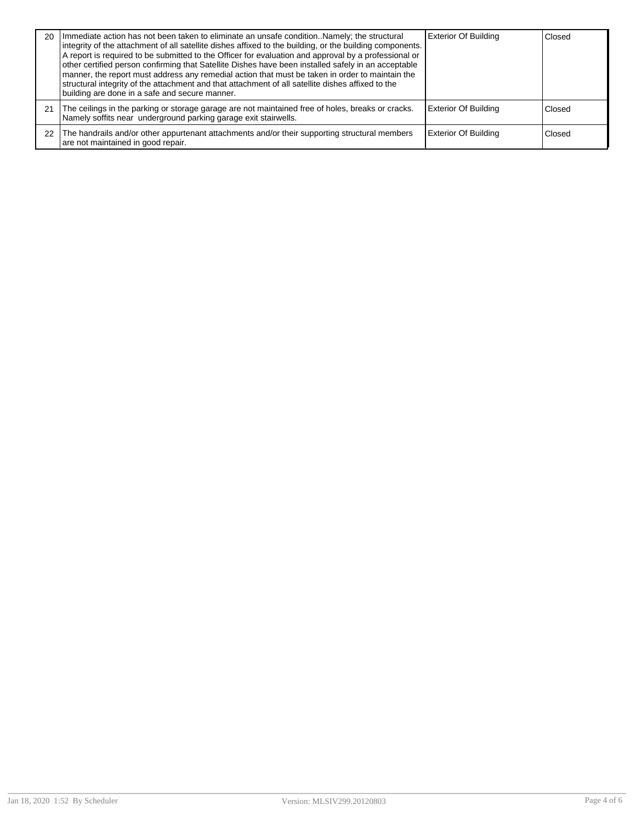| 20 | Immediate action has not been taken to eliminate an unsafe conditionNamely; the structural<br>integrity of the attachment of all satellite dishes affixed to the building, or the building components.<br>A report is required to be submitted to the Officer for evaluation and approval by a professional or<br>other certified person confirming that Satellite Dishes have been installed safely in an acceptable<br>manner, the report must address any remedial action that must be taken in order to maintain the<br>structural integrity of the attachment and that attachment of all satellite dishes affixed to the<br>building are done in a safe and secure manner. | <b>Exterior Of Building</b> | Closed |
|----|---------------------------------------------------------------------------------------------------------------------------------------------------------------------------------------------------------------------------------------------------------------------------------------------------------------------------------------------------------------------------------------------------------------------------------------------------------------------------------------------------------------------------------------------------------------------------------------------------------------------------------------------------------------------------------|-----------------------------|--------|
| 21 | The ceilings in the parking or storage garage are not maintained free of holes, breaks or cracks.<br>Namely soffits near underground parking garage exit stairwells.                                                                                                                                                                                                                                                                                                                                                                                                                                                                                                            | <b>Exterior Of Building</b> | Closed |
| 22 | The handrails and/or other appurtenant attachments and/or their supporting structural members<br>are not maintained in good repair.                                                                                                                                                                                                                                                                                                                                                                                                                                                                                                                                             | <b>Exterior Of Building</b> | Closed |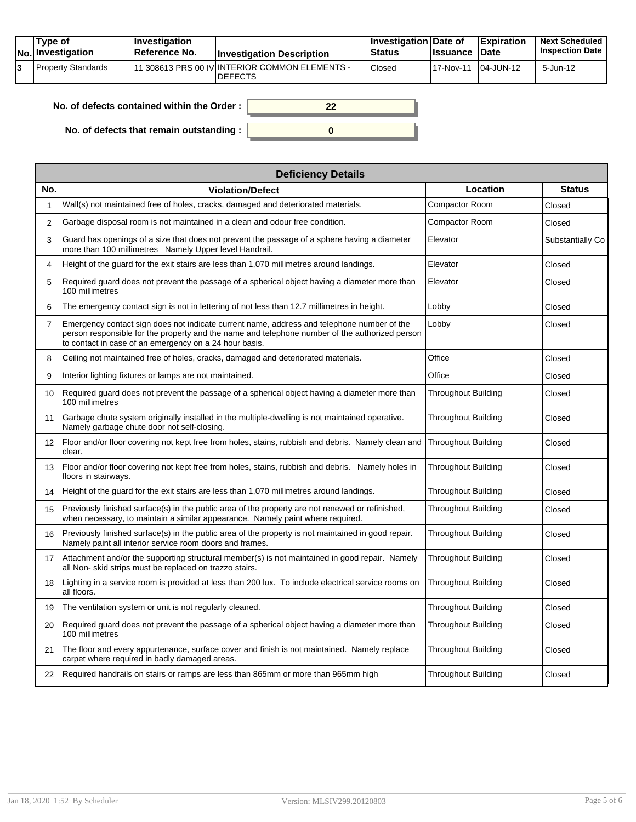|  | Tvpe of<br><b>No.</b> Investigation | <b>Investigation</b><br>Reference No. | <b>Investigation Description</b>                                  | <b>Investigation Date of</b><br><b>Status</b> | <b>Ilssuance Date</b> | <b>Expiration</b> | <b>Next Scheduled</b><br><b>Inspection Date</b> |
|--|-------------------------------------|---------------------------------------|-------------------------------------------------------------------|-----------------------------------------------|-----------------------|-------------------|-------------------------------------------------|
|  | Property Standards                  |                                       | 111 308613 PRS 00 IV INTERIOR COMMON ELEMENTS -<br><b>DEFECTS</b> | Closed                                        | 17-Nov-11             | $104$ -JUN-12     | 5-Jun-12                                        |

| No. of defects contained within the Order : $\vert$ |  |
|-----------------------------------------------------|--|
| No. of defects that remain outstanding : $\vert$    |  |

| <b>Deficiency Details</b>                                                                                                                                                                                                                              |                            |                  |  |  |  |  |  |
|--------------------------------------------------------------------------------------------------------------------------------------------------------------------------------------------------------------------------------------------------------|----------------------------|------------------|--|--|--|--|--|
| <b>Violation/Defect</b>                                                                                                                                                                                                                                | Location                   | <b>Status</b>    |  |  |  |  |  |
| Wall(s) not maintained free of holes, cracks, damaged and deteriorated materials.                                                                                                                                                                      | Compactor Room             | Closed           |  |  |  |  |  |
| Garbage disposal room is not maintained in a clean and odour free condition.                                                                                                                                                                           | <b>Compactor Room</b>      | Closed           |  |  |  |  |  |
| Guard has openings of a size that does not prevent the passage of a sphere having a diameter<br>more than 100 millimetres Namely Upper level Handrail.                                                                                                 | Elevator                   | Substantially Co |  |  |  |  |  |
| Height of the guard for the exit stairs are less than 1,070 millimetres around landings.                                                                                                                                                               | Elevator                   | Closed           |  |  |  |  |  |
| Required guard does not prevent the passage of a spherical object having a diameter more than<br>100 millimetres                                                                                                                                       | Elevator                   | Closed           |  |  |  |  |  |
| The emergency contact sign is not in lettering of not less than 12.7 millimetres in height.                                                                                                                                                            | Lobby                      | Closed           |  |  |  |  |  |
| Emergency contact sign does not indicate current name, address and telephone number of the<br>person responsible for the property and the name and telephone number of the authorized person<br>to contact in case of an emergency on a 24 hour basis. | Lobby                      | Closed           |  |  |  |  |  |
| Ceiling not maintained free of holes, cracks, damaged and deteriorated materials.                                                                                                                                                                      | Office                     | Closed           |  |  |  |  |  |
| Interior lighting fixtures or lamps are not maintained.                                                                                                                                                                                                | Office                     | Closed           |  |  |  |  |  |
| Required guard does not prevent the passage of a spherical object having a diameter more than<br>100 millimetres                                                                                                                                       | Throughout Building        | Closed           |  |  |  |  |  |
| Garbage chute system originally installed in the multiple-dwelling is not maintained operative.<br>Namely garbage chute door not self-closing.                                                                                                         | Throughout Building        | Closed           |  |  |  |  |  |
| Floor and/or floor covering not kept free from holes, stains, rubbish and debris. Namely clean and<br>clear.                                                                                                                                           | <b>Throughout Building</b> | Closed           |  |  |  |  |  |
| Floor and/or floor covering not kept free from holes, stains, rubbish and debris. Namely holes in<br>floors in stairways.                                                                                                                              | <b>Throughout Building</b> | Closed           |  |  |  |  |  |
| Height of the guard for the exit stairs are less than 1,070 millimetres around landings.                                                                                                                                                               | <b>Throughout Building</b> | Closed           |  |  |  |  |  |
| Previously finished surface(s) in the public area of the property are not renewed or refinished,<br>when necessary, to maintain a similar appearance. Namely paint where required.                                                                     | Throughout Building        | Closed           |  |  |  |  |  |
| Previously finished surface(s) in the public area of the property is not maintained in good repair.<br>Namely paint all interior service room doors and frames.                                                                                        | Throughout Building        | Closed           |  |  |  |  |  |
| Attachment and/or the supporting structural member(s) is not maintained in good repair. Namely<br>all Non-skid strips must be replaced on trazzo stairs.                                                                                               | <b>Throughout Building</b> | Closed           |  |  |  |  |  |
| Lighting in a service room is provided at less than 200 lux. To include electrical service rooms on<br>all floors.                                                                                                                                     | <b>Throughout Building</b> | Closed           |  |  |  |  |  |
| The ventilation system or unit is not regularly cleaned.                                                                                                                                                                                               | Throughout Building        | Closed           |  |  |  |  |  |
| Required guard does not prevent the passage of a spherical object having a diameter more than<br>100 millimetres                                                                                                                                       | <b>Throughout Building</b> | Closed           |  |  |  |  |  |
| The floor and every appurtenance, surface cover and finish is not maintained. Namely replace<br>carpet where required in badly damaged areas.                                                                                                          | <b>Throughout Building</b> | Closed           |  |  |  |  |  |
| Required handrails on stairs or ramps are less than 865mm or more than 965mm high                                                                                                                                                                      | <b>Throughout Building</b> | Closed           |  |  |  |  |  |
|                                                                                                                                                                                                                                                        |                            |                  |  |  |  |  |  |